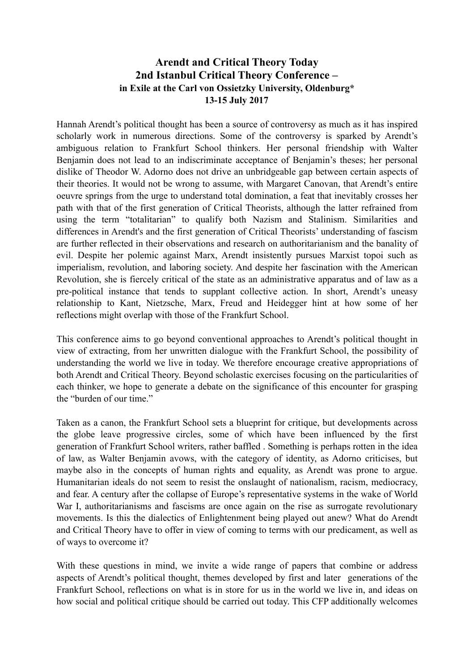## **Arendt and Critical Theory Today 2nd Istanbul Critical Theory Conference – in Exile at the Carl von Ossietzky University, Oldenburg\* 13-15 July 2017**

Hannah Arendt's political thought has been a source of controversy as much as it has inspired scholarly work in numerous directions. Some of the controversy is sparked by Arendt's ambiguous relation to Frankfurt School thinkers. Her personal friendship with Walter Benjamin does not lead to an indiscriminate acceptance of Benjamin's theses; her personal dislike of Theodor W. Adorno does not drive an unbridgeable gap between certain aspects of their theories. It would not be wrong to assume, with Margaret Canovan, that Arendt's entire oeuvre springs from the urge to understand total domination, a feat that inevitably crosses her path with that of the first generation of Critical Theorists, although the latter refrained from using the term "totalitarian" to qualify both Nazism and Stalinism. Similarities and differences in Arendt's and the first generation of Critical Theorists' understanding of fascism are further reflected in their observations and research on authoritarianism and the banality of evil. Despite her polemic against Marx, Arendt insistently pursues Marxist topoi such as imperialism, revolution, and laboring society. And despite her fascination with the American Revolution, she is fiercely critical of the state as an administrative apparatus and of law as a pre-political instance that tends to supplant collective action. In short, Arendt's uneasy relationship to Kant, Nietzsche, Marx, Freud and Heidegger hint at how some of her reflections might overlap with those of the Frankfurt School.

This conference aims to go beyond conventional approaches to Arendt's political thought in view of extracting, from her unwritten dialogue with the Frankfurt School, the possibility of understanding the world we live in today. We therefore encourage creative appropriations of both Arendt and Critical Theory. Beyond scholastic exercises focusing on the particularities of each thinker, we hope to generate a debate on the significance of this encounter for grasping the "burden of our time."

Taken as a canon, the Frankfurt School sets a blueprint for critique, but developments across the globe leave progressive circles, some of which have been influenced by the first generation of Frankfurt School writers, rather baffled . Something is perhaps rotten in the idea of law, as Walter Benjamin avows, with the category of identity, as Adorno criticises, but maybe also in the concepts of human rights and equality, as Arendt was prone to argue. Humanitarian ideals do not seem to resist the onslaught of nationalism, racism, mediocracy, and fear. A century after the collapse of Europe's representative systems in the wake of World War I, authoritarianisms and fascisms are once again on the rise as surrogate revolutionary movements. Is this the dialectics of Enlightenment being played out anew? What do Arendt and Critical Theory have to offer in view of coming to terms with our predicament, as well as of ways to overcome it?

With these questions in mind, we invite a wide range of papers that combine or address aspects of Arendt's political thought, themes developed by first and later generations of the Frankfurt School, reflections on what is in store for us in the world we live in, and ideas on how social and political critique should be carried out today. This CFP additionally welcomes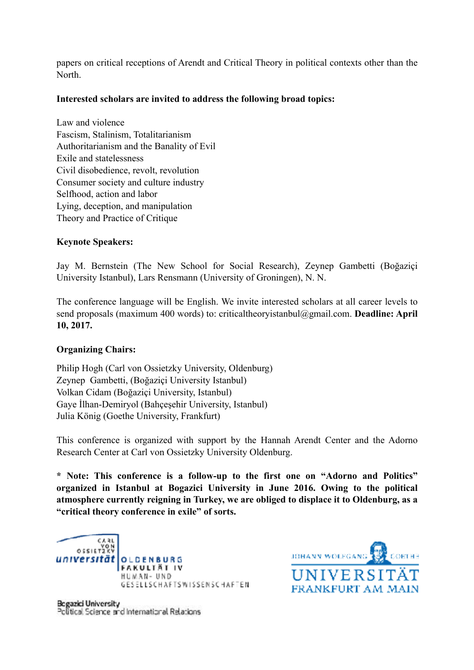papers on critical receptions of Arendt and Critical Theory in political contexts other than the North.

## **Interested scholars are invited to address the following broad topics:**

Law and violence Fascism, Stalinism, Totalitarianism Authoritarianism and the Banality of Evil Exile and statelessness Civil disobedience, revolt, revolution Consumer society and culture industry Selfhood, action and labor Lying, deception, and manipulation Theory and Practice of Critique

## **Keynote Speakers:**

Jay M. Bernstein (The New School for Social Research), Zeynep Gambetti (Boğaziçi University Istanbul), Lars Rensmann (University of Groningen), N. N.

The conference language will be English. We invite interested scholars at all career levels to send proposals (maximum 400 words) to: criticaltheoryistanbul@gmail.com. **Deadline: April 10, 2017.** 

## **Organizing Chairs:**

Philip Hogh (Carl von Ossietzky University, Oldenburg) Zeynep Gambetti, (Boğaziçi University Istanbul) Volkan Cidam (Boğaziçi University, Istanbul) Gaye İlhan-Demiryol (Bahçeşehir University, Istanbul) Julia König (Goethe University, Frankfurt)

This conference is organized with support by the Hannah Arendt Center and the Adorno Research Center at Carl von Ossietzky University Oldenburg.

**\* Note: This conference is a follow-up to the first one on "Adorno and Politics" organized in Istanbul at Bogazici University in June 2016. Owing to the political atmosphere currently reigning in Turkey, we are obliged to displace it to Oldenburg, as a "critical theory conference in exile" of sorts.**





Begazici University Political Science and International Relations